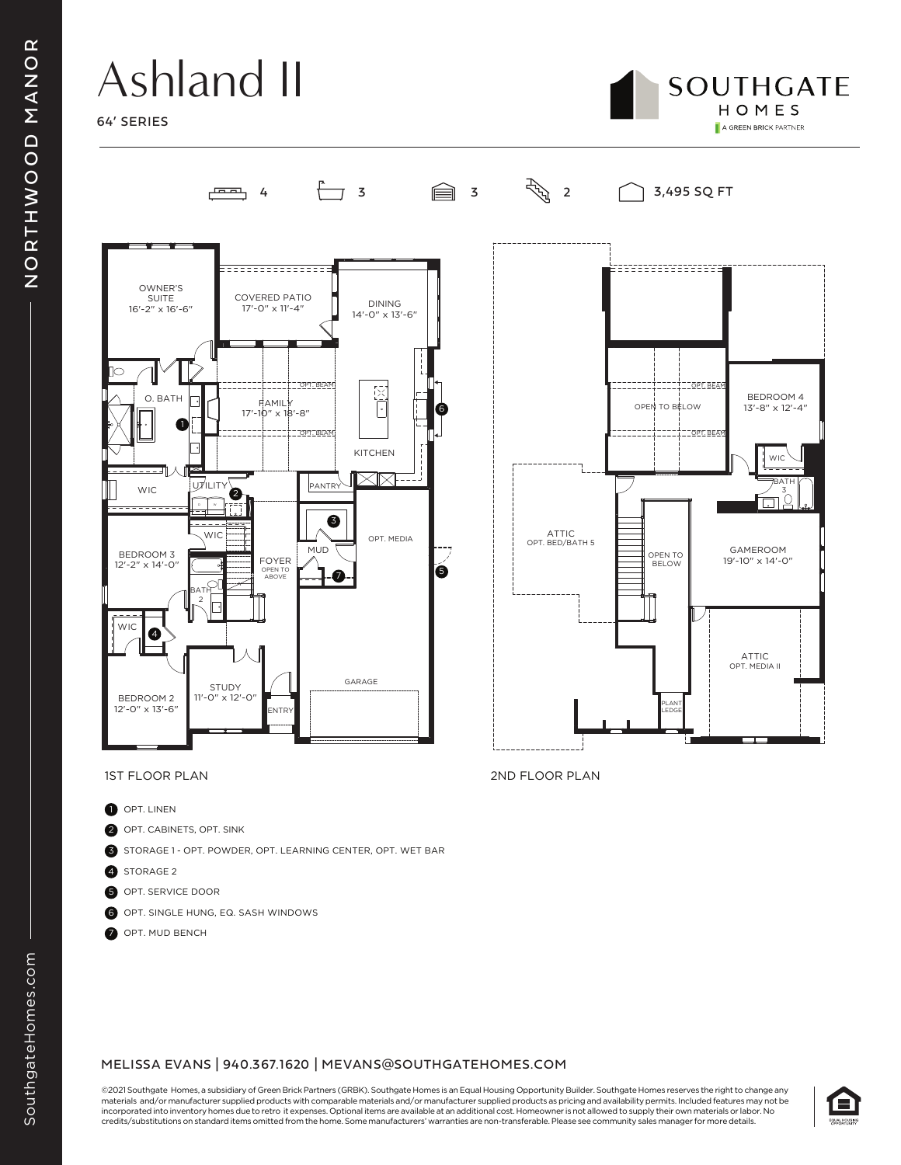# Ashland II

لممت







- **D** OPT. LINEN
- 2 OPT. CABINETS, OPT. SINK
- 3 STORAGE 1 OPT. POWDER, OPT. LEARNING CENTER, OPT. WET BAR
- 4 STORAGE 2
- 5 OPT. SERVICE DOOR
- 6 OPT. SINGLE HUNG, EQ. SASH WINDOWS
- OPT. MUD BENCH

### MELISSA EVANS | 940.367.1620 | MEVANS@SOUTHGATEHOMES.COM

©2021 Southgate Homes, a subsidiary of Green Brick Partners (GRBK). Southgate Homes is an Equal Housing Opportunity Builder. Southgate Homes reserves the right to change any materials and/or manufacturer supplied products with comparable materials and/or manufacturer supplied products as pricing and availability permits. Included features may not be incorporated into inventory homes due to retro it expenses. Optional items are available at an additional cost. Homeowner is not allowed to supply their own materials or labor. No credits/substitutions on standard items omitted from the home. Some manufacturers' warranties are non-transferable. Please see community sales manager for more details.



1ST FLOOR PLAN 2ND FLOOR PLAN